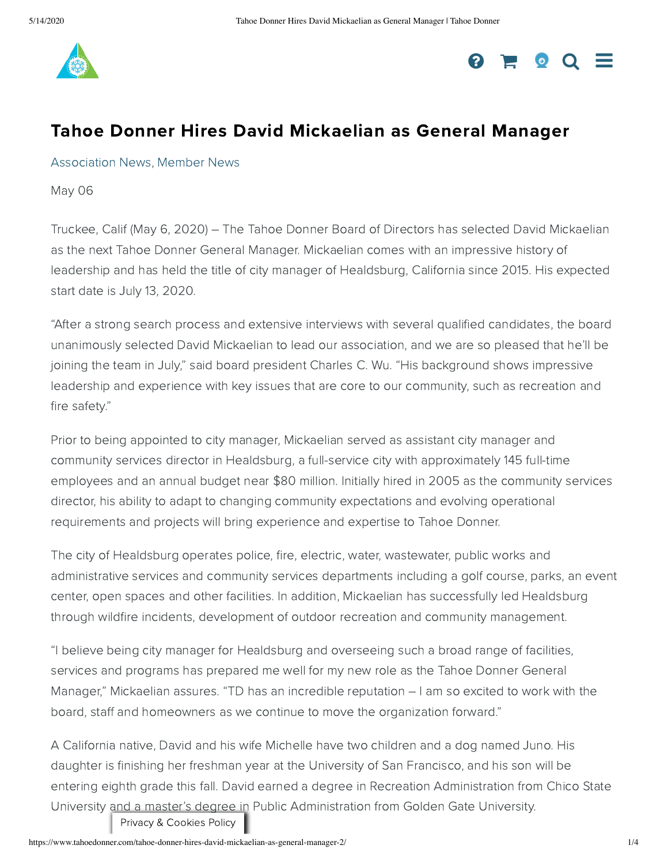



## Tahoe Donner Hires David Mickaelian as General Manager

[Association](https://www.tahoedonner.com/category/association-news/) News, [Member](https://www.tahoedonner.com/category/member-news/) News

May 06

Truckee, Calif (May 6, 2020) – The Tahoe Donner Board of Directors has selected David Mickaelian as the next Tahoe Donner General Manager. Mickaelian comes with an impressive history of leadership and has held the title of city manager of Healdsburg, California since 2015. His expected start date is July 13, 2020.

"After a strong search process and extensive interviews with several qualified candidates, the board unanimously selected David Mickaelian to lead our association, and we are so pleased that he'll be joining the team in July," said board president Charles C. Wu. "His background shows impressive leadership and experience with key issues that are core to our community, such as recreation and fire safety."

Prior to being appointed to city manager, Mickaelian served as assistant city manager and community services director in Healdsburg, a full-service city with approximately 145 full-time employees and an annual budget near \$80 million. Initially hired in 2005 as the community services director, his ability to adapt to changing community expectations and evolving operational requirements and projects will bring experience and expertise to Tahoe Donner.

The city of Healdsburg operates police, fire, electric, water, wastewater, public works and administrative services and community services departments including a golf course, parks, an event center, open spaces and other facilities. In addition, Mickaelian has successfully led Healdsburg through wildfire incidents, development of outdoor recreation and community management.

"I believe being city manager for Healdsburg and overseeing such a broad range of facilities, services and programs has prepared me well for my new role as the Tahoe Donner General Manager," Mickaelian assures. "TD has an incredible reputation – I am so excited to work with the board, staff and homeowners as we continue to move the organization forward."

A California native, David and his wife Michelle have two children and a dog named Juno. His daughter is finishing her freshman year at the University of San Francisco, and his son will be entering eighth grade this fall. David earned a degree in Recreation Administration from Chico State University and a master's degree in Public Administration from Golden Gate University.

Privacy & Cookies Policy